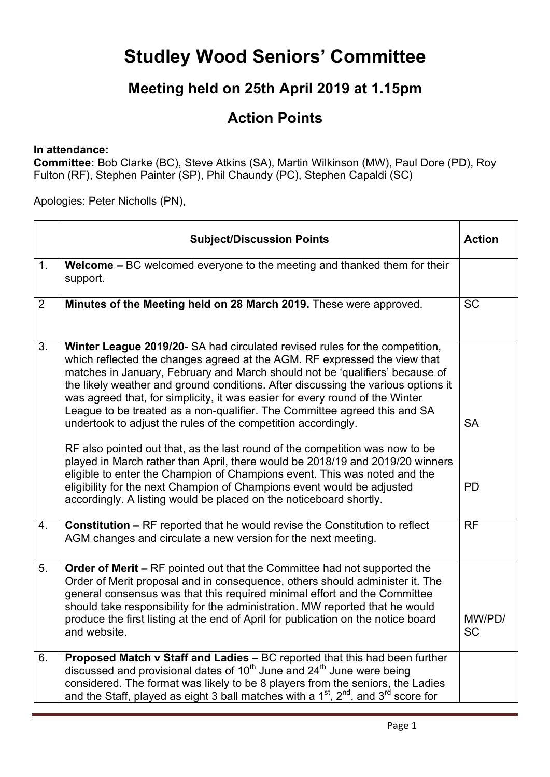## **Studley Wood Seniors' Committee**

## **Meeting held on 25th April 2019 at 1.15pm**

## **Action Points**

## **In attendance:**

 $\mathbf{r}$ 

**Committee:** Bob Clarke (BC), Steve Atkins (SA), Martin Wilkinson (MW), Paul Dore (PD), Roy Fulton (RF), Stephen Painter (SP), Phil Chaundy (PC), Stephen Capaldi (SC)

Apologies: Peter Nicholls (PN),

|                | <b>Subject/Discussion Points</b>                                                                                                                                                                                                                                                                                                                                                                                                                                                                                                                                                                                                                                                                                                                                                                                                                                                                                                                          | <b>Action</b>          |
|----------------|-----------------------------------------------------------------------------------------------------------------------------------------------------------------------------------------------------------------------------------------------------------------------------------------------------------------------------------------------------------------------------------------------------------------------------------------------------------------------------------------------------------------------------------------------------------------------------------------------------------------------------------------------------------------------------------------------------------------------------------------------------------------------------------------------------------------------------------------------------------------------------------------------------------------------------------------------------------|------------------------|
| 1.             | <b>Welcome –</b> BC welcomed everyone to the meeting and thanked them for their<br>support.                                                                                                                                                                                                                                                                                                                                                                                                                                                                                                                                                                                                                                                                                                                                                                                                                                                               |                        |
| $\overline{2}$ | Minutes of the Meeting held on 28 March 2019. These were approved.                                                                                                                                                                                                                                                                                                                                                                                                                                                                                                                                                                                                                                                                                                                                                                                                                                                                                        | <b>SC</b>              |
| 3.             | Winter League 2019/20- SA had circulated revised rules for the competition,<br>which reflected the changes agreed at the AGM. RF expressed the view that<br>matches in January, February and March should not be 'qualifiers' because of<br>the likely weather and ground conditions. After discussing the various options it<br>was agreed that, for simplicity, it was easier for every round of the Winter<br>League to be treated as a non-qualifier. The Committee agreed this and SA<br>undertook to adjust the rules of the competition accordingly.<br>RF also pointed out that, as the last round of the competition was now to be<br>played in March rather than April, there would be 2018/19 and 2019/20 winners<br>eligible to enter the Champion of Champions event. This was noted and the<br>eligibility for the next Champion of Champions event would be adjusted<br>accordingly. A listing would be placed on the noticeboard shortly. | <b>SA</b><br><b>PD</b> |
| 4.             | <b>Constitution - RF reported that he would revise the Constitution to reflect</b><br>AGM changes and circulate a new version for the next meeting.                                                                                                                                                                                                                                                                                                                                                                                                                                                                                                                                                                                                                                                                                                                                                                                                       | <b>RF</b>              |
| 5.             | Order of Merit - RF pointed out that the Committee had not supported the<br>Order of Merit proposal and in consequence, others should administer it. The<br>general consensus was that this required minimal effort and the Committee<br>should take responsibility for the administration. MW reported that he would<br>produce the first listing at the end of April for publication on the notice board<br>and website.                                                                                                                                                                                                                                                                                                                                                                                                                                                                                                                                | MW/PD/<br><b>SC</b>    |
| 6.             | Proposed Match v Staff and Ladies - BC reported that this had been further<br>discussed and provisional dates of $10^{th}$ June and $24^{th}$ June were being<br>considered. The format was likely to be 8 players from the seniors, the Ladies<br>and the Staff, played as eight 3 ball matches with a $1st$ , $2nd$ , and $3rd$ score for                                                                                                                                                                                                                                                                                                                                                                                                                                                                                                                                                                                                               |                        |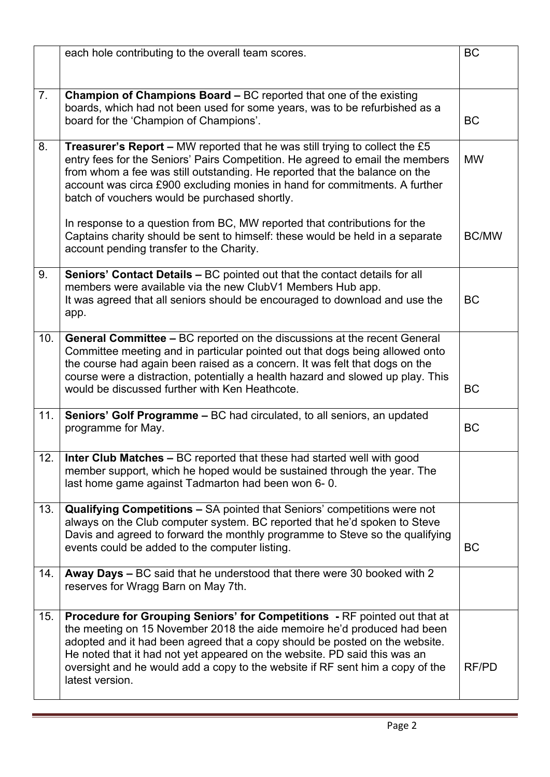|                | each hole contributing to the overall team scores.                                                                                                                                                                                                                                                                                                                                                                   | <b>BC</b>    |
|----------------|----------------------------------------------------------------------------------------------------------------------------------------------------------------------------------------------------------------------------------------------------------------------------------------------------------------------------------------------------------------------------------------------------------------------|--------------|
| 7 <sub>1</sub> | <b>Champion of Champions Board - BC reported that one of the existing</b><br>boards, which had not been used for some years, was to be refurbished as a<br>board for the 'Champion of Champions'.                                                                                                                                                                                                                    | <b>BC</b>    |
| 8.             | <b>Treasurer's Report – MW reported that he was still trying to collect the £5</b><br>entry fees for the Seniors' Pairs Competition. He agreed to email the members<br>from whom a fee was still outstanding. He reported that the balance on the<br>account was circa £900 excluding monies in hand for commitments. A further<br>batch of vouchers would be purchased shortly.                                     | <b>MW</b>    |
|                | In response to a question from BC, MW reported that contributions for the<br>Captains charity should be sent to himself: these would be held in a separate<br>account pending transfer to the Charity.                                                                                                                                                                                                               | <b>BC/MW</b> |
| 9.             | Seniors' Contact Details - BC pointed out that the contact details for all<br>members were available via the new ClubV1 Members Hub app.<br>It was agreed that all seniors should be encouraged to download and use the<br>app.                                                                                                                                                                                      | <b>BC</b>    |
| 10.            | General Committee - BC reported on the discussions at the recent General<br>Committee meeting and in particular pointed out that dogs being allowed onto<br>the course had again been raised as a concern. It was felt that dogs on the<br>course were a distraction, potentially a health hazard and slowed up play. This<br>would be discussed further with Ken Heathcote.                                         | <b>BC</b>    |
| 11.            | Seniors' Golf Programme – BC had circulated, to all seniors, an updated<br>programme for May.                                                                                                                                                                                                                                                                                                                        | <b>BC</b>    |
| 12.            | Inter Club Matches - BC reported that these had started well with good<br>member support, which he hoped would be sustained through the year. The<br>last home game against Tadmarton had been won 6-0.                                                                                                                                                                                                              |              |
| 13.            | Qualifying Competitions - SA pointed that Seniors' competitions were not<br>always on the Club computer system. BC reported that he'd spoken to Steve<br>Davis and agreed to forward the monthly programme to Steve so the qualifying<br>events could be added to the computer listing.                                                                                                                              | <b>BC</b>    |
| 14.            | Away Days - BC said that he understood that there were 30 booked with 2<br>reserves for Wragg Barn on May 7th.                                                                                                                                                                                                                                                                                                       |              |
| 15.            | Procedure for Grouping Seniors' for Competitions - RF pointed out that at<br>the meeting on 15 November 2018 the aide memoire he'd produced had been<br>adopted and it had been agreed that a copy should be posted on the website.<br>He noted that it had not yet appeared on the website. PD said this was an<br>oversight and he would add a copy to the website if RF sent him a copy of the<br>latest version. | <b>RF/PD</b> |